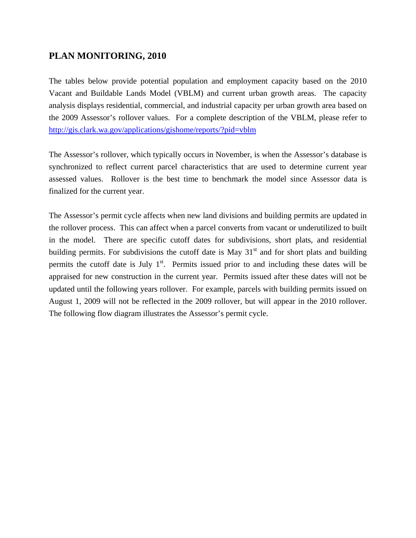## **PLAN MONITORING, 2010**

The tables below provide potential population and employment capacity based on the 2010 Vacant and Buildable Lands Model (VBLM) and current urban growth areas. The capacity analysis displays residential, commercial, and industrial capacity per urban growth area based on the 2009 Assessor's rollover values. For a complete description of the VBLM, please refer to <http://gis.clark.wa.gov/applications/gishome/reports/?pid=vblm>

The Assessor's rollover, which typically occurs in November, is when the Assessor's database is synchronized to reflect current parcel characteristics that are used to determine current year assessed values. Rollover is the best time to benchmark the model since Assessor data is finalized for the current year.

The Assessor's permit cycle affects when new land divisions and building permits are updated in the rollover process. This can affect when a parcel converts from vacant or underutilized to built in the model. There are specific cutoff dates for subdivisions, short plats, and residential building permits. For subdivisions the cutoff date is May  $31<sup>st</sup>$  and for short plats and building permits the cutoff date is July  $1<sup>st</sup>$ . Permits issued prior to and including these dates will be appraised for new construction in the current year. Permits issued after these dates will not be updated until the following years rollover. For example, parcels with building permits issued on August 1, 2009 will not be reflected in the 2009 rollover, but will appear in the 2010 rollover. The following flow diagram illustrates the Assessor's permit cycle.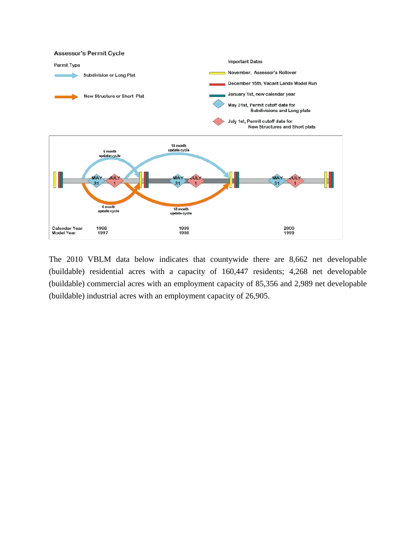

The 2010 VBLM data below indicates that countywide there are 8,662 net developable (buildable) residential acres with a capacity of 160,447 residents; 4,268 net developable (buildable) commercial acres with an employment capacity of 85,356 and 2,989 net developable (buildable) industrial acres with an employment capacity of 26,905.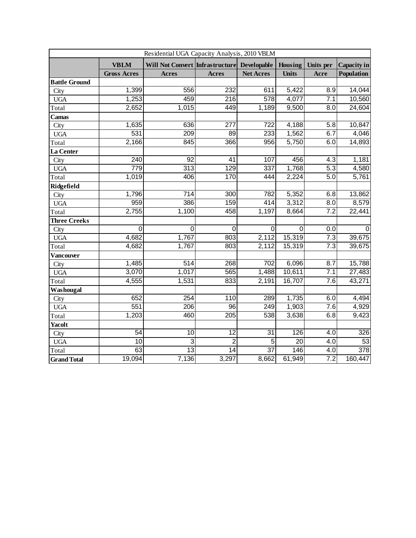| Residential UGA Capacity Analysis, 2010 VBLM |                    |                                             |                  |                  |                 |                  |                  |
|----------------------------------------------|--------------------|---------------------------------------------|------------------|------------------|-----------------|------------------|------------------|
|                                              | <b>VBLM</b>        | Will Not Convert Infrastructure Developable |                  |                  | Housing         | Units per        | Capacity in      |
|                                              | <b>Gross Acres</b> | <b>Acres</b>                                | <b>Acres</b>     | <b>Net Acres</b> | <b>Units</b>    | Acre             | Population       |
| <b>Battle Ground</b>                         |                    |                                             |                  |                  |                 |                  |                  |
| City                                         | 1,399              | 556                                         | 232              | 611              | 5,422           | 8.9              | 14,044           |
| <b>UGA</b>                                   | 1,253              | 459                                         | $\overline{216}$ | 578              | 4,077           | 7.1              | 10,560           |
| Total                                        | 2,652              | 1,015                                       | 449              | 1,189            | 9,500           | 8.0              | 24,604           |
| Camas                                        |                    |                                             |                  |                  |                 |                  |                  |
| City                                         | 1,635              | 636                                         | 277              | 722              | 4,188           | 5.8              | 10,847           |
| <b>UGA</b>                                   | 531                | $\overline{209}$                            | $\overline{89}$  | 233              | 1,562           | 6.7              | 4,046            |
| Total                                        | 2,166              | 845                                         | 366              | 956              | 5,750           | 6.0              | 14,893           |
| La Center                                    |                    |                                             |                  |                  |                 |                  |                  |
| City                                         | $\overline{240}$   | $\overline{92}$                             | 41               | 107              | 456             | 4.3              | 1,181            |
| <b>UGA</b>                                   | 779                | $\overline{313}$                            | $\overline{129}$ | 337              | 1,768           | 5.3              | 4,580            |
| Total                                        | 1,019              | 406                                         | 170              | 444              | 2,224           | 5.0              | 5,761            |
| Ridgefield                                   |                    |                                             |                  |                  |                 |                  |                  |
| City                                         | 1,796              | $\overline{714}$                            | 300              | 782              | 5,352           | 6.8              | 13,862           |
| <b>UGA</b>                                   | 959                | 386                                         | 159              | 414              | 3,312           | $\overline{8.0}$ | 8,579            |
| Total                                        | 2,755              | 1,100                                       | 458              | 1,197            | 8,664           | 7.2              | 22,441           |
| <b>Three Creeks</b>                          |                    |                                             |                  |                  |                 |                  |                  |
| City                                         | $\overline{0}$     | $\overline{0}$                              | $\overline{0}$   | $\overline{0}$   | 0               | $\overline{0.0}$ | $\Omega$         |
| <b>UGA</b>                                   | 4,682              | 1,767                                       | 803              | 2,112            | 15,319          | $\overline{7.3}$ | 39,675           |
| Total                                        | 4,682              | 1,767                                       | 803              | 2,112            | 15,319          | $\overline{7.3}$ | 39,675           |
| Vancouver                                    |                    |                                             |                  |                  |                 |                  |                  |
| City                                         | 1,485              | 514                                         | 268              | 702              | 6,096           | 8.7              | 15,788           |
| <b>UGA</b>                                   | 3,070              | 1,017                                       | 565              | 1,488            | 10,611          | 7.1              | 27,483           |
| Total                                        | 4,555              | 1,531                                       | 833              | 2,191            | 16,707          | 7.6              | 43,271           |
| Washougal                                    |                    |                                             |                  |                  |                 |                  |                  |
| City                                         | 652                | 254                                         | 110              | 289              | 1,735           | 6.0              | 4,494            |
| <b>UGA</b>                                   | 551                | 206                                         | 96               | 249              | 1,903           | 7.6              | 4,929            |
| Total                                        | 1,203              | 460                                         | 205              | 538              | 3,638           | 6.8              | 9,423            |
| <b>Yacolt</b>                                |                    |                                             |                  |                  |                 |                  |                  |
| City                                         | 54                 | 10                                          | 12               | $\overline{31}$  | 126             | 4.0              | 326              |
| <b>UGA</b>                                   | $\overline{10}$    | $\overline{3}$                              | $\overline{2}$   | $\overline{5}$   | $\overline{20}$ | $\overline{4.0}$ | 53               |
| Total                                        | 63                 | $\overline{13}$                             | $\overline{14}$  | $\overline{37}$  | 146             | 4.0              | $\overline{378}$ |
| <b>Grand Total</b>                           | 19,094             | 7,136                                       | 3,297            | 8,662            | 61,949          | 7.2              | 160,447          |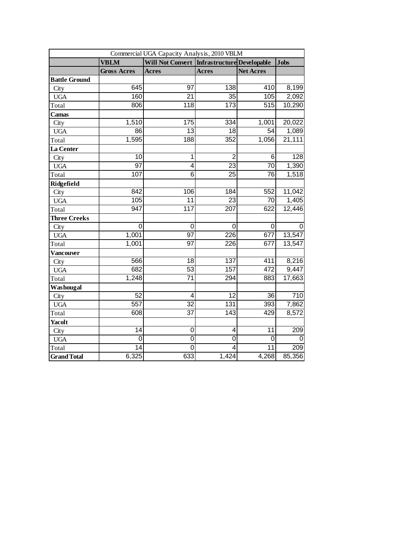| Commercial UGA Capacity Analysis, 2010 VBLM |                         |                         |                                   |                  |                  |  |  |
|---------------------------------------------|-------------------------|-------------------------|-----------------------------------|------------------|------------------|--|--|
|                                             | <b>VBLM</b>             | <b>Will Not Convert</b> | <b>Infrastructure</b> Developable |                  | <b>Jobs</b>      |  |  |
|                                             | <b>Gross Acres</b>      | <b>Acres</b>            | <b>Acres</b>                      | <b>Net Acres</b> |                  |  |  |
| <b>Battle Ground</b>                        |                         |                         |                                   |                  |                  |  |  |
| City                                        | 645                     | 97                      | 138                               | 410              | 8,199            |  |  |
| <b>UGA</b>                                  | 160                     | 21                      | $\overline{35}$                   | 105              | 2,092            |  |  |
| Total                                       | 806                     | $\overline{118}$        | $\overline{173}$                  | 515              | 10,290           |  |  |
| Camas                                       |                         |                         |                                   |                  |                  |  |  |
| City                                        | 1,510                   | 175                     | $\overline{334}$                  | 1,001            | 20,022           |  |  |
| <b>UGA</b>                                  | 86                      | $\overline{13}$         | $\overline{18}$                   | $\overline{54}$  | 1,089            |  |  |
| Total                                       | 1,595                   | 188                     | 352                               | 1,056            | 21,111           |  |  |
| La Center                                   |                         |                         |                                   |                  |                  |  |  |
| City                                        | 10                      | $\overline{1}$          | $\overline{2}$                    | 6                | $\overline{128}$ |  |  |
| <b>UGA</b>                                  | $\overline{97}$         | 4                       | $\overline{23}$                   | $\overline{70}$  | 1,390            |  |  |
| Total                                       | 107                     | $\overline{6}$          | $\overline{2}5$                   | 76               | 1,518            |  |  |
| Ridgefield                                  |                         |                         |                                   |                  |                  |  |  |
| City                                        | 842                     | 106                     | 184                               | 552              | 11,042           |  |  |
| <b>UGA</b>                                  | 105                     | $\overline{11}$         | $\overline{23}$                   | 70               | 1,405            |  |  |
| Total                                       | $\overline{947}$        | 117                     | 207                               | 622              | 12,446           |  |  |
| <b>Three Creeks</b>                         |                         |                         |                                   |                  |                  |  |  |
| City                                        | $\overline{\mathsf{o}}$ | $\mathbf 0$             | $\mathbf 0$                       | $\mathbf 0$      | $\overline{0}$   |  |  |
| <b>UGA</b>                                  | 1,001                   | $\overline{97}$         | 226                               | 677              | 13,547           |  |  |
| Total                                       | 1,001                   | 97                      | 226                               | 677              | 13,547           |  |  |
| Vancouver                                   |                         |                         |                                   |                  |                  |  |  |
| City                                        | 566                     | 18                      | 137                               | 411              | 8,216            |  |  |
| <b>UGA</b>                                  | 682                     | 53                      | 157                               | 472              | 9,447            |  |  |
| Total                                       | 1,248                   | $\overline{71}$         | 294                               | 883              | 17,663           |  |  |
| Washougal                                   |                         |                         |                                   |                  |                  |  |  |
| City                                        | 52                      | 4                       | 12                                | $\overline{36}$  | 710              |  |  |
| <b>UGA</b>                                  | 557                     | $\overline{32}$         | 131                               | 393              | 7,862            |  |  |
| Total                                       | 608                     | $\overline{37}$         | $\overline{143}$                  | 429              | 8,572            |  |  |
| <b>Yacolt</b>                               |                         |                         |                                   |                  |                  |  |  |
| City                                        | 14                      | $\mathbf 0$             | $\overline{4}$                    | $\overline{11}$  | 209              |  |  |
| <b>UGA</b>                                  | $\mathbf 0$             | $\overline{0}$          | $\overline{0}$                    | $\Omega$         | $\Omega$         |  |  |
| Total                                       | $\overline{14}$         | $\overline{0}$          | 4                                 | $\overline{11}$  | 209              |  |  |
| <b>Grand Total</b>                          | 6,325                   | 633                     | 1,424                             | 4,268            | 85,356           |  |  |